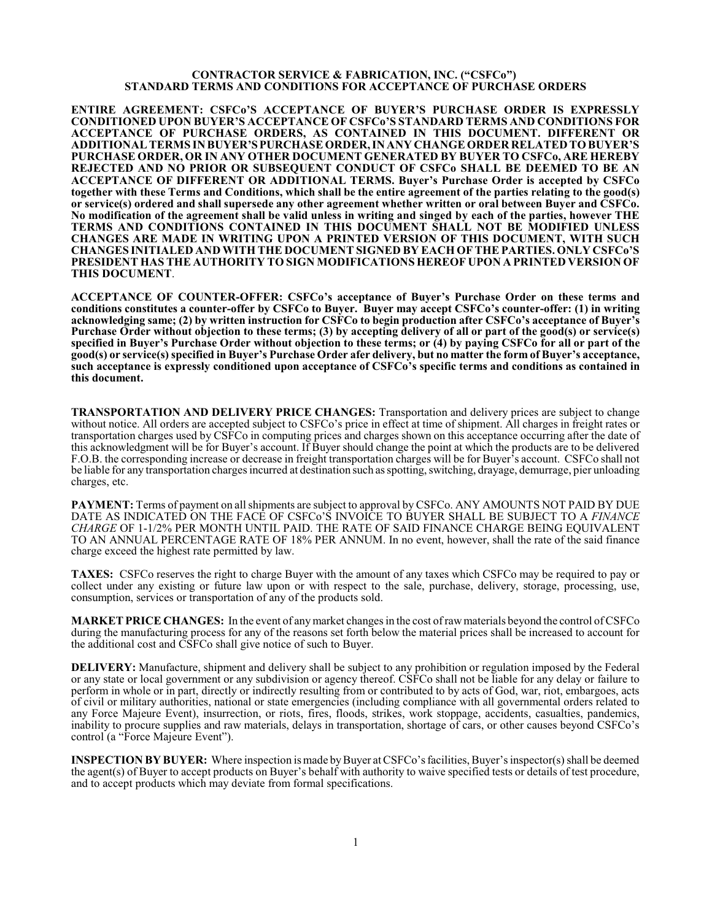## **CONTRACTOR SERVICE & FABRICATION, INC. ("CSFCo") STANDARD TERMS AND CONDITIONS FOR ACCEPTANCE OF PURCHASE ORDERS**

**ENTIRE AGREEMENT: CSFCo'S ACCEPTANCE OF BUYER'S PURCHASE ORDER IS EXPRESSLY CONDITIONED UPON BUYER'S ACCEPTANCE OF CSFCo'S STANDARD TERMS AND CONDITIONS FOR ACCEPTANCE OF PURCHASE ORDERS, AS CONTAINED IN THIS DOCUMENT. DIFFERENT OR ADDITIONALTERMS IN BUYER'S PURCHASEORDER, IN ANY CHANGEORDER RELATED TOBUYER'S PURCHASE ORDER, OR IN ANY OTHER DOCUMENT GENERATED BY BUYER TO CSFCo, ARE HEREBY REJECTED AND NO PRIOR OR SUBSEQUENT CONDUCT OF CSFCo SHALL BE DEEMED TO BE AN ACCEPTANCE OF DIFFERENT OR ADDITIONAL TERMS. Buyer's Purchase Order is accepted by CSFCo together with these Terms and Conditions, which shall be the entire agreement of the parties relating to the good(s) or service(s) ordered and shall supersede any other agreement whether written or oral between Buyer and CSFCo. No modification of the agreement shall be valid unless in writing and singed by each of the parties, however THE TERMS AND CONDITIONS CONTAINED IN THIS DOCUMENT SHALL NOT BE MODIFIED UNLESS CHANGES ARE MADE IN WRITING UPON A PRINTED VERSION OF THIS DOCUMENT, WITH SUCH CHANGES INITIALED AND WITH THE DOCUMENT SIGNED BY EACH OF THEPARTIES. ONLY CSFCo'S PRESIDENT HAS THE AUTHORITY TO SIGN MODIFICATIONS HEREOF UPON A PRINTED VERSION OF THIS DOCUMENT**.

**ACCEPTANCE OF COUNTER-OFFER: CSFCo's acceptance of Buyer's Purchase Order on these terms and conditions constitutes a counter-offer by CSFCo to Buyer. Buyer may accept CSFCo's counter-offer: (1) in writing acknowledging same; (2) by written instruction for CSFCo to begin production after CSFCo's acceptance of Buyer's Purchase Order without objection to these terms; (3) by accepting delivery of all or part of the good(s) or service(s) specified in Buyer's Purchase Order without objection to these terms; or (4) by paying CSFCo for all or part of the good(s) or service(s) specified in Buyer's Purchase Order afer delivery, but no matter the form of Buyer's acceptance, such acceptance is expressly conditioned upon acceptance of CSFCo's specific terms and conditions as contained in this document.**

**TRANSPORTATION AND DELIVERY PRICE CHANGES:** Transportation and delivery prices are subject to change without notice. All orders are accepted subject to CSFCo's price in effect at time of shipment. All charges in freight rates or transportation charges used by CSFCo in computing prices and charges shown on this acceptance occurring after the date of this acknowledgment will be for Buyer's account. If Buyer should change the point at which the products are to be delivered F.O.B. the corresponding increase or decrease in freight transportation charges will be for Buyer's account. CSFCo shall not be liable for any transportation charges incurred at destination such as spotting, switching, drayage, demurrage, pier unloading charges, etc.

**PAYMENT:** Terms of payment on all shipments are subject to approval by CSFCo. ANY AMOUNTS NOT PAID BY DUE DATE AS INDICATED ON THE FACE OF CSFCo'S INVOICE TO BUYER SHALL BE SUBJECT TO A *FINANCE CHARGE* OF 1-1/2% PER MONTH UNTIL PAID. THE RATE OF SAID FINANCE CHARGE BEING EQUIVALENT TO AN ANNUAL PERCENTAGE RATE OF 18% PER ANNUM. In no event, however, shall the rate of the said finance charge exceed the highest rate permitted by law.

**TAXES:** CSFCo reserves the right to charge Buyer with the amount of any taxes which CSFCo may be required to pay or collect under any existing or future law upon or with respect to the sale, purchase, delivery, storage, processing, use, consumption, services or transportation of any of the products sold.

**MARKET PRICE CHANGES:** In the event of anymarket changes in the cost ofrawmaterials beyond the control ofCSFCo during the manufacturing process for any of the reasons set forth below the material prices shall be increased to account for the additional cost and CSFCo shall give notice of such to Buyer.

**DELIVERY:** Manufacture, shipment and delivery shall be subject to any prohibition or regulation imposed by the Federal or any state or local government or any subdivision or agency thereof. CSFCo shall not be liable for any delay or failure to perform in whole or in part, directly or indirectly resulting from or contributed to by acts of God, war, riot, embargoes, acts of civil or military authorities, national or state emergencies (including compliance with all governmental orders related to any Force Majeure Event), insurrection, or riots, fires, floods, strikes, work stoppage, accidents, casualties, pandemics, inability to procure supplies and raw materials, delays in transportation, shortage of cars, or other causes beyond CSFCo's control (a "Force Majeure Event").

**INSPECTION BY BUYER:** Where inspection is made by Buyer at CSFCo's facilities, Buyer's inspector(s) shall be deemed the agent(s) of Buyer to accept products on Buyer's behalf with authority to waive specified tests or details of test procedure, and to accept products which may deviate from formal specifications.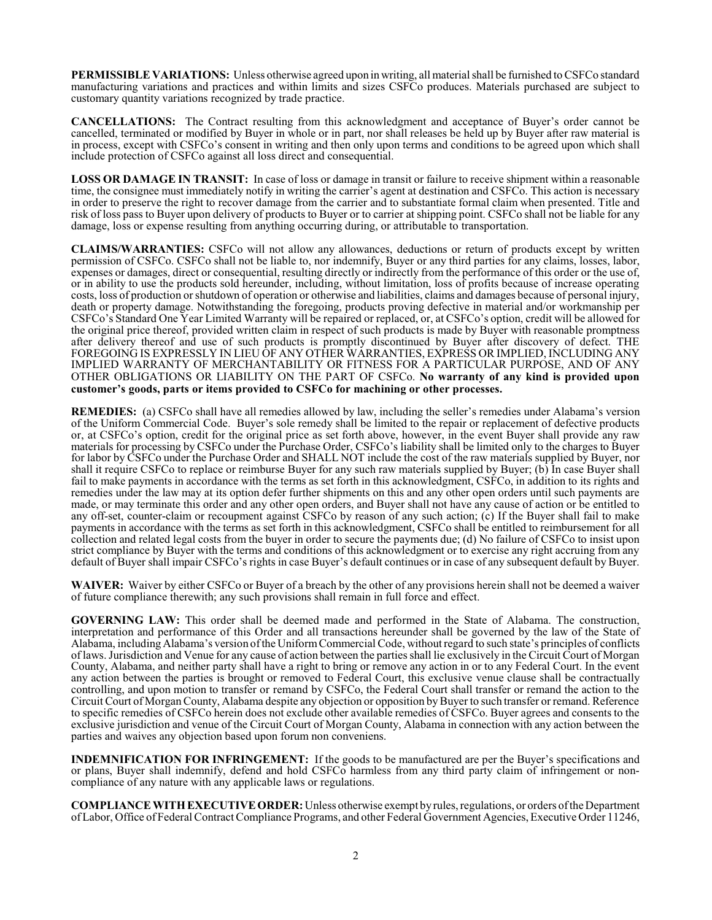**PERMISSIBLE VARIATIONS:** Unless otherwise agreed upon in writing, all material shall be furnished to CSFCo standard manufacturing variations and practices and within limits and sizes CSFCo produces. Materials purchased are subject to customary quantity variations recognized by trade practice.

**CANCELLATIONS:** The Contract resulting from this acknowledgment and acceptance of Buyer's order cannot be cancelled, terminated or modified by Buyer in whole or in part, nor shall releases be held up by Buyer after raw material is in process, except with CSFCo's consent in writing and then only upon terms and conditions to be agreed upon which shall include protection of CSFCo against all loss direct and consequential.

**LOSS OR DAMAGE IN TRANSIT:** In case of loss or damage in transit or failure to receive shipment within a reasonable time, the consignee must immediately notify in writing the carrier's agent at destination and CSFCo. This action is necessary in order to preserve the right to recover damage from the carrier and to substantiate formal claim when presented. Title and risk of loss pass to Buyer upon delivery of products to Buyer or to carrier at shipping point. CSFCo shall not be liable for any damage, loss or expense resulting from anything occurring during, or attributable to transportation.

**CLAIMS/WARRANTIES:** CSFCo will not allow any allowances, deductions or return of products except by written permission of CSFCo. CSFCo shall not be liable to, nor indemnify, Buyer or any third parties for any claims, losses, labor, expenses or damages, direct or consequential, resulting directly or indirectly from the performance of this order or the use of, or in ability to use the products sold hereunder, including, without limitation, loss of profits because of increase operating costs, loss of production or shutdown of operation or otherwise and liabilities, claims and damages because of personal injury, death or property damage. Notwithstanding the foregoing, products proving defective in material and/or workmanship per CSFCo's Standard One Year Limited Warranty will be repaired or replaced, or, at CSFCo's option, credit will be allowed for the original price thereof, provided written claim in respect of such products is made by Buyer with reasonable promptness after delivery thereof and use of such products is promptly discontinued by Buyer after discovery of defect. THE FOREGOING IS EXPRESSLY IN LIEU OF ANY OTHER WARRANTIES, EXPRESS OR IMPLIED, INCLUDING ANY IMPLIED WARRANTY OF MERCHANTABILITY OR FITNESS FOR A PARTICULAR PURPOSE, AND OF ANY OTHER OBLIGATIONS OR LIABILITY ON THE PART OF CSFCo. **No warranty of any kind is provided upon customer's goods, parts or items provided to CSFCo for machining or other processes.**

**REMEDIES:** (a) CSFCo shall have all remedies allowed by law, including the seller's remedies under Alabama's version of the Uniform Commercial Code. Buyer's sole remedy shall be limited to the repair or replacement of defective products or, at CSFCo's option, credit for the original price as set forth above, however, in the event Buyer shall provide any raw materials for processing by CSFCo under the Purchase Order, CSFCo's liability shall be limited only to the charges to Buyer for labor by CSFCo under the Purchase Order and SHALL NOT include the cost of the raw materials supplied by Buyer, nor shall it require CSFCo to replace or reimburse Buyer for any such raw materials supplied by Buyer; (b) In case Buyer shall fail to make payments in accordance with the terms as set forth in this acknowledgment, CSFCo, in addition to its rights and remedies under the law may at its option defer further shipments on this and any other open orders until such payments are made, or may terminate this order and any other open orders, and Buyer shall not have any cause of action or be entitled to any off-set, counter-claim or recoupment against CSFCo by reason of any such action; (c) If the Buyer shall fail to make payments in accordance with the terms as set forth in this acknowledgment, CSFCo shall be entitled to reimbursement for all collection and related legal costs from the buyer in order to secure the payments due; (d) No failure of CSFCo to insist upon strict compliance by Buyer with the terms and conditions of this acknowledgment or to exercise any right accruing from any default of Buyer shall impair CSFCo's rights in case Buyer's default continues or in case of any subsequent default by Buyer.

**WAIVER:** Waiver by either CSFCo or Buyer of a breach by the other of any provisions herein shall not be deemed a waiver of future compliance therewith; any such provisions shall remain in full force and effect.

**GOVERNING LAW:** This order shall be deemed made and performed in the State of Alabama. The construction, interpretation and performance of this Order and all transactions hereunder shall be governed by the law of the State of Alabama, including Alabama's version ofthe UniformCommercial Code, without regard to such state's principles of conflicts of laws. Jurisdiction and Venue for any cause of action between the parties shall lie exclusively in the Circuit Court of Morgan County, Alabama, and neither party shall have a right to bring or remove any action in or to any Federal Court. In the event any action between the parties is brought or removed to Federal Court, this exclusive venue clause shall be contractually controlling, and upon motion to transfer or remand by CSFCo, the Federal Court shall transfer or remand the action to the Circuit Court of MorganCounty, Alabama despite any objection or opposition byBuyer to such transfer or remand. Reference to specific remedies of CSFCo herein does not exclude other available remedies of CSFCo. Buyer agrees and consents to the exclusive jurisdiction and venue of the Circuit Court of Morgan County, Alabama in connection with any action between the parties and waives any objection based upon forum non conveniens.

**INDEMNIFICATION FOR INFRINGEMENT:** If the goods to be manufactured are per the Buyer's specifications and or plans, Buyer shall indemnify, defend and hold CSFCo harmless from any third party claim of infringement or noncompliance of any nature with any applicable laws or regulations.

**COMPLIANCE WITHEXECUTIVE ORDER:** Unless otherwise exempt by rules, regulations, or orders ofthe Department ofLabor, Office of Federal Contract Compliance Programs, and other Federal Government Agencies, Executive Order 11246,